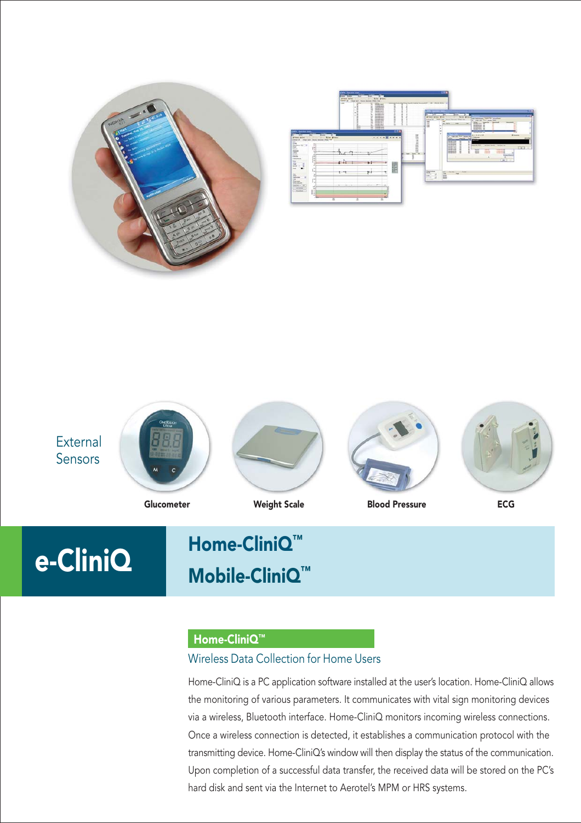







# e-CliniQ Home-CliniQ™ Mobile-CliniQ™

#### Home-CliniQ™

# Wireless Data Collection for Home Users

Home-CliniQ is a PC application software installed at the user's location. Home-CliniQ allows the monitoring of various parameters. It communicates with vital sign monitoring devices via a wireless, Bluetooth interface. Home-CliniQ monitors incoming wireless connections. Once a wireless connection is detected, it establishes a communication protocol with the transmitting device. Home-CliniQ's window will then display the status of the communication. Upon completion of a successful data transfer, the received data will be stored on the PC's hard disk and sent via the Internet to Aerotel's MPM or HRS systems.